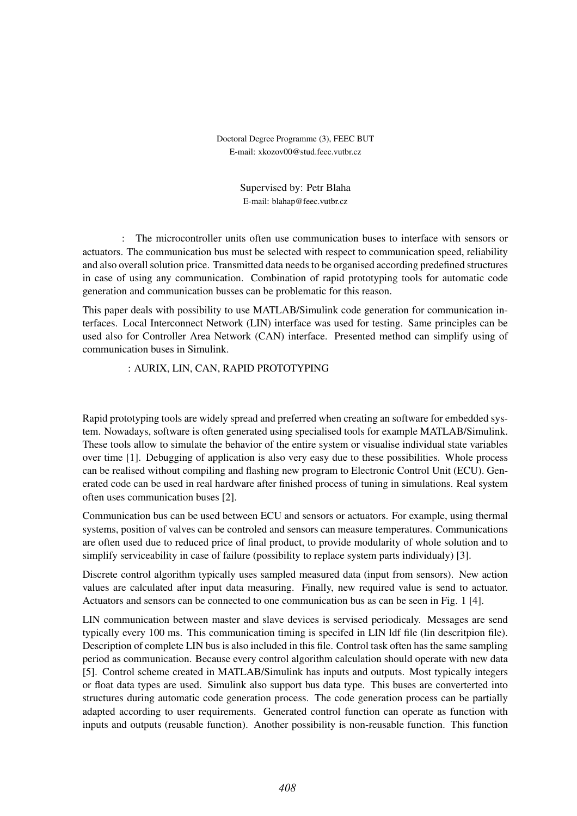# **MATLAB SIMULINK CODE GENERATION SUPPORT FOR LIN COMMUNICATION**

### **Matúš Kozovský**

Doctoral Degree Programme (3), FEEC BUT E-mail: xkozov00@stud.feec.vutbr.cz

> Supervised by: Petr Blaha E-mail: blahap@feec.vutbr.cz

**Abstract**: The microcontroller units often use communication buses to interface with sensors or actuators. The communication bus must be selected with respect to communication speed, reliability and also overall solution price. Transmitted data needs to be organised according predefined structures in case of using any communication. Combination of rapid prototyping tools for automatic code generation and communication busses can be problematic for this reason.

This paper deals with possibility to use MATLAB/Simulink code generation for communication interfaces. Local Interconnect Network (LIN) interface was used for testing. Same principles can be used also for Controller Area Network (CAN) interface. Presented method can simplify using of communication buses in Simulink.

**Keywords**: AURIX, LIN, CAN, RAPID PROTOTYPING

# **1 INTRODUCTION**

Rapid prototyping tools are widely spread and preferred when creating an software for embedded system. Nowadays, software is often generated using specialised tools for example MATLAB/Simulink. These tools allow to simulate the behavior of the entire system or visualise individual state variables over time [1]. Debugging of application is also very easy due to these possibilities. Whole process can be realised without compiling and flashing new program to Electronic Control Unit (ECU). Generated code can be used in real hardware after finished process of tuning in simulations. Real system often uses communication buses [2].

Communication bus can be used between ECU and sensors or actuators. For example, using thermal systems, position of valves can be controled and sensors can measure temperatures. Communications are often used due to reduced price of final product, to provide modularity of whole solution and to simplify serviceability in case of failure (possibility to replace system parts individualy) [3].

Discrete control algorithm typically uses sampled measured data (input from sensors). New action values are calculated after input data measuring. Finally, new required value is send to actuator. Actuators and sensors can be connected to one communication bus as can be seen in Fig. 1 [4].

LIN communication between master and slave devices is servised periodicaly. Messages are send typically every 100 ms. This communication timing is specifed in LIN ldf file (lin descritpion file). Description of complete LIN bus is also included in this file. Control task often has the same sampling period as communication. Because every control algorithm calculation should operate with new data [5]. Control scheme created in MATLAB/Simulink has inputs and outputs. Most typically integers or float data types are used. Simulink also support bus data type. This buses are converterted into structures during automatic code generation process. The code generation process can be partially adapted according to user requirements. Generated control function can operate as function with inputs and outputs (reusable function). Another possibility is non-reusable function. This function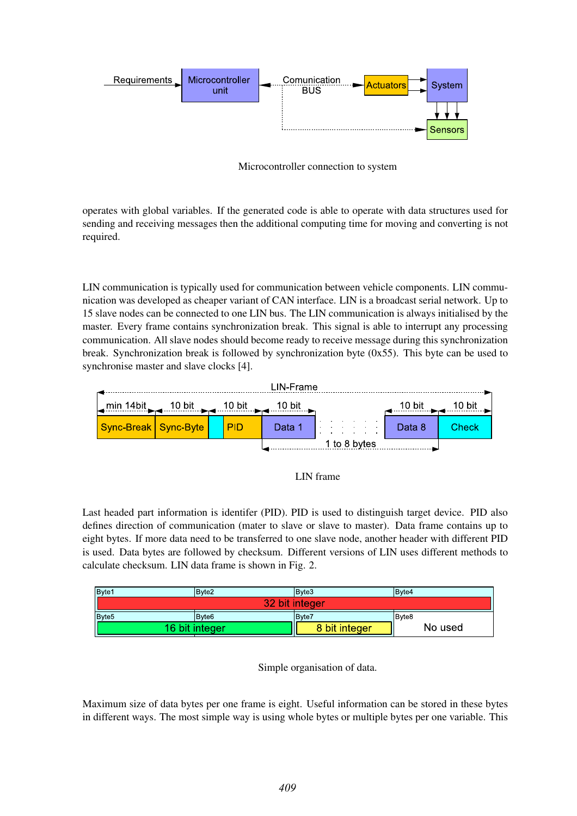

**Figure 1:** Microcontroller connection to system

operates with global variables. If the generated code is able to operate with data structures used for sending and receiving messages then the additional computing time for moving and converting is not required.

# **2 LIN INTERFACE**

LIN communication is typically used for communication between vehicle components. LIN communication was developed as cheaper variant of CAN interface. LIN is a broadcast serial network. Up to 15 slave nodes can be connected to one LIN bus. The LIN communication is always initialised by the master. Every frame contains synchronization break. This signal is able to interrupt any processing communication. All slave nodes should become ready to receive message during this synchronization break. Synchronization break is followed by synchronization byte  $(0x55)$ . This byte can be used to synchronise master and slave clocks [4].





Last headed part information is identifer (PID). PID is used to distinguish target device. PID also defines direction of communication (mater to slave or slave to master). Data frame contains up to eight bytes. If more data need to be transferred to one slave node, another header with different PID is used. Data bytes are followed by checksum. Different versions of LIN uses different methods to calculate checksum. LIN data frame is shown in Fig. 2.

| Byte1             | Bvte2  | Byte3         | Bvte4                     |  |  |  |  |
|-------------------|--------|---------------|---------------------------|--|--|--|--|
| 32 bit integer    |        |               |                           |  |  |  |  |
| Byte <sub>5</sub> | IBvte6 | IBvte7        | <b>B</b> yte <sub>8</sub> |  |  |  |  |
| 16 bit integer    |        | 8 bit integer | No used                   |  |  |  |  |



Maximum size of data bytes per one frame is eight. Useful information can be stored in these bytes in different ways. The most simple way is using whole bytes or multiple bytes per one variable. This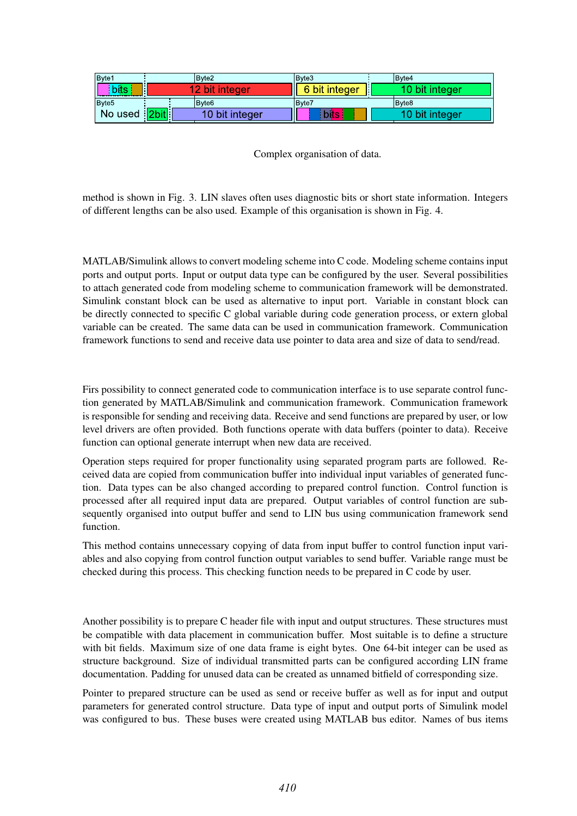| Byte1               | Bvte2          | Bvte3         | Bvte4          |
|---------------------|----------------|---------------|----------------|
| bits                | bit integer    | 6 bit integer | 10 bit integer |
| Byte <sub>5</sub>   | IBvte6         | IBvte7        | IBvte8         |
| No used <b>2bit</b> | 10 bit integer | bits          | 10 bit integer |

**Figure 4:** Complex organisation of data.

method is shown in Fig. 3. LIN slaves often uses diagnostic bits or short state information. Integers of different lengths can be also used. Example of this organisation is shown in Fig. 4.

# **3 MATLAB SETTINGS FOR CODE GENERATION**

MATLAB/Simulink allows to convert modeling scheme into C code. Modeling scheme contains input ports and output ports. Input or output data type can be configured by the user. Several possibilities to attach generated code from modeling scheme to communication framework will be demonstrated. Simulink constant block can be used as alternative to input port. Variable in constant block can be directly connected to specific C global variable during code generation process, or extern global variable can be created. The same data can be used in communication framework. Communication framework functions to send and receive data use pointer to data area and size of data to send/read.

# **3.1 STAND ALONE COMMUNICATION FRAMEWORK**

Firs possibility to connect generated code to communication interface is to use separate control function generated by MATLAB/Simulink and communication framework. Communication framework is responsible for sending and receiving data. Receive and send functions are prepared by user, or low level drivers are often provided. Both functions operate with data buffers (pointer to data). Receive function can optional generate interrupt when new data are received.

Operation steps required for proper functionality using separated program parts are followed. Received data are copied from communication buffer into individual input variables of generated function. Data types can be also changed according to prepared control function. Control function is processed after all required input data are prepared. Output variables of control function are subsequently organised into output buffer and send to LIN bus using communication framework send function.

This method contains unnecessary copying of data from input buffer to control function input variables and also copying from control function output variables to send buffer. Variable range must be checked during this process. This checking function needs to be prepared in C code by user.

#### **3.2 PREPREPARED C STRUCTURES**

Another possibility is to prepare C header file with input and output structures. These structures must be compatible with data placement in communication buffer. Most suitable is to define a structure with bit fields. Maximum size of one data frame is eight bytes. One 64-bit integer can be used as structure background. Size of individual transmitted parts can be configured according LIN frame documentation. Padding for unused data can be created as unnamed bitfield of corresponding size.

Pointer to prepared structure can be used as send or receive buffer as well as for input and output parameters for generated control structure. Data type of input and output ports of Simulink model was configured to bus. These buses were created using MATLAB bus editor. Names of bus items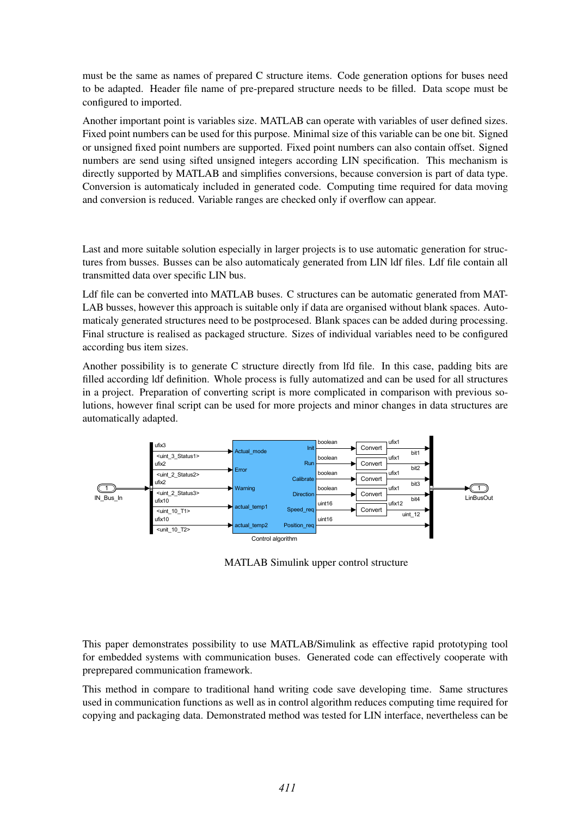must be the same as names of prepared C structure items. Code generation options for buses need to be adapted. Header file name of pre-prepared structure needs to be filled. Data scope must be configured to imported.

Another important point is variables size. MATLAB can operate with variables of user defined sizes. Fixed point numbers can be used for this purpose. Minimal size of this variable can be one bit. Signed or unsigned fixed point numbers are supported. Fixed point numbers can also contain offset. Signed numbers are send using sifted unsigned integers according LIN specification. This mechanism is directly supported by MATLAB and simplifies conversions, because conversion is part of data type. Conversion is automaticaly included in generated code. Computing time required for data moving and conversion is reduced. Variable ranges are checked only if overflow can appear.

# **3.3 AUTOMATED GENERATION OF STRUCTURES**

Last and more suitable solution especially in larger projects is to use automatic generation for structures from busses. Busses can be also automaticaly generated from LIN ldf files. Ldf file contain all transmitted data over specific LIN bus.

Ldf file can be converted into MATLAB buses. C structures can be automatic generated from MAT-LAB busses, however this approach is suitable only if data are organised without blank spaces. Automaticaly generated structures need to be postprocesed. Blank spaces can be added during processing. Final structure is realised as packaged structure. Sizes of individual variables need to be configured according bus item sizes.

Another possibility is to generate C structure directly from lfd file. In this case, padding bits are filled according ldf definition. Whole process is fully automatized and can be used for all structures in a project. Preparation of converting script is more complicated in comparison with previous solutions, however final script can be used for more projects and minor changes in data structures are automatically adapted.



**Figure 5:** MATLAB Simulink upper control structure

# **4 CONCLUSION**

This paper demonstrates possibility to use MATLAB/Simulink as effective rapid prototyping tool for embedded systems with communication buses. Generated code can effectively cooperate with preprepared communication framework.

This method in compare to traditional hand writing code save developing time. Same structures used in communication functions as well as in control algorithm reduces computing time required for copying and packaging data. Demonstrated method was tested for LIN interface, nevertheless can be